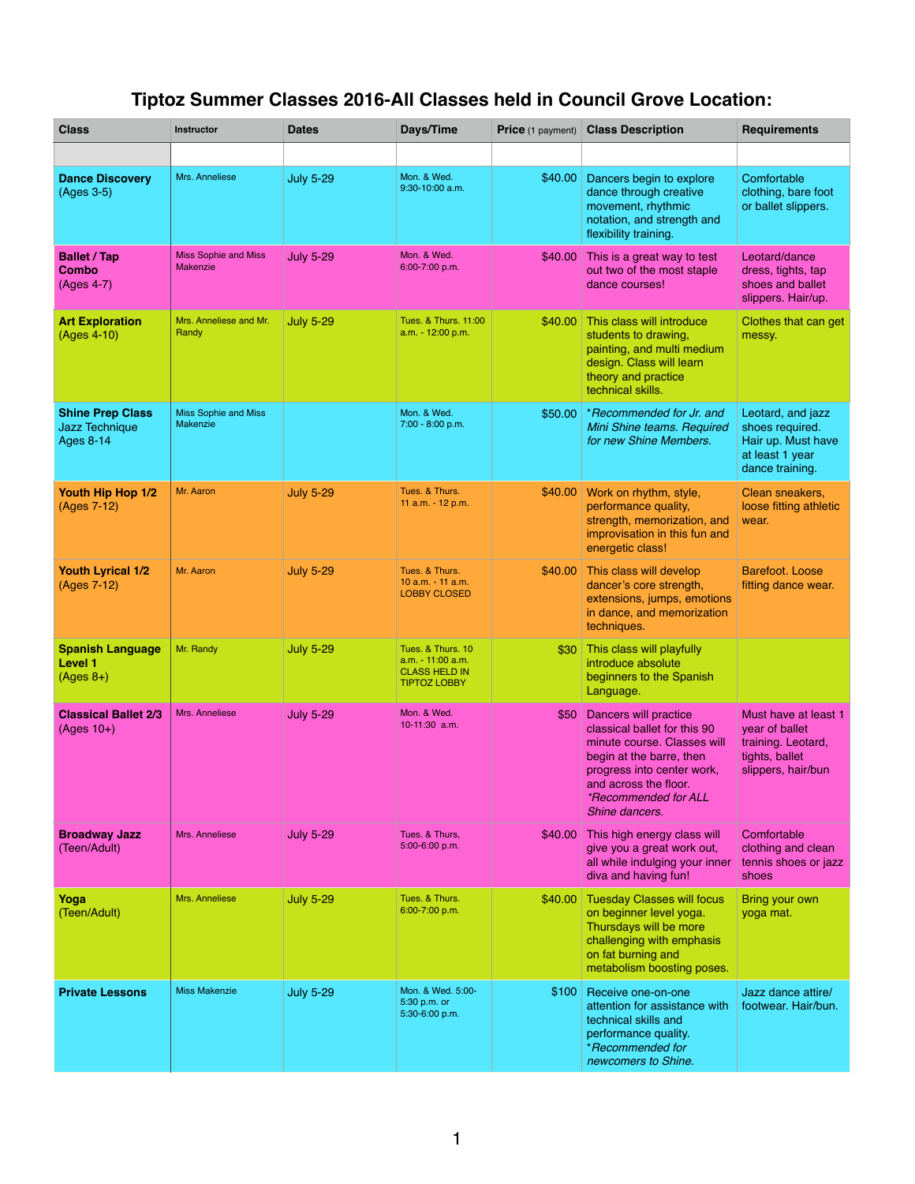## **Tiptoz Summer Classes 2016-All Classes held in Council Grove Location:**

| <b>Class</b>                                                  | <b>Instructor</b>                              | <b>Dates</b>     | Days/Time                                                                               | <b>Price</b> (1 payment) | <b>Class Description</b>                                                                                                                                                                                          | <b>Requirements</b>                                                                                  |
|---------------------------------------------------------------|------------------------------------------------|------------------|-----------------------------------------------------------------------------------------|--------------------------|-------------------------------------------------------------------------------------------------------------------------------------------------------------------------------------------------------------------|------------------------------------------------------------------------------------------------------|
|                                                               |                                                |                  |                                                                                         |                          |                                                                                                                                                                                                                   |                                                                                                      |
| <b>Dance Discovery</b><br>(Ages 3-5)                          | Mrs. Anneliese                                 | <b>July 5-29</b> | Mon. & Wed.<br>$9:30 - 10:00$ a.m.                                                      | \$40.00                  | Dancers begin to explore<br>dance through creative<br>movement, rhythmic<br>notation, and strength and<br>flexibility training.                                                                                   | Comfortable<br>clothing, bare foot<br>or ballet slippers.                                            |
| <b>Ballet / Tap</b><br><b>Combo</b><br>(Ages 4-7)             | <b>Miss Sophie and Miss</b><br><b>Makenzie</b> | <b>July 5-29</b> | Mon. & Wed.<br>6:00-7:00 p.m.                                                           | \$40.00                  | This is a great way to test<br>out two of the most staple<br>dance courses!                                                                                                                                       | Leotard/dance<br>dress, tights, tap<br>shoes and ballet<br>slippers. Hair/up.                        |
| <b>Art Exploration</b><br>(Ages 4-10)                         | Mrs. Anneliese and Mr.<br>Randy                | <b>July 5-29</b> | Tues, & Thurs, 11:00<br>a.m. - 12:00 p.m.                                               | \$40.00                  | This class will introduce<br>students to drawing,<br>painting, and multi medium<br>design. Class will learn<br>theory and practice<br>technical skills.                                                           | Clothes that can get<br>messy.                                                                       |
| <b>Shine Prep Class</b><br>Jazz Technique<br><b>Ages 8-14</b> | <b>Miss Sophie and Miss</b><br><b>Makenzie</b> |                  | Mon. & Wed.<br>7:00 - 8:00 p.m.                                                         | \$50.00                  | *Recommended for Jr. and<br>Mini Shine teams. Required<br>for new Shine Members.                                                                                                                                  | Leotard, and jazz<br>shoes required.<br>Hair up. Must have<br>at least 1 year<br>dance training.     |
| Youth Hip Hop 1/2<br>(Ages 7-12)                              | Mr. Aaron                                      | <b>July 5-29</b> | Tues. & Thurs.<br>11 $a.m. - 12 p.m.$                                                   | \$40.00                  | Work on rhythm, style,<br>performance quality,<br>strength, memorization, and<br>improvisation in this fun and<br>energetic class!                                                                                | Clean sneakers,<br>loose fitting athletic<br>wear.                                                   |
| <b>Youth Lyrical 1/2</b><br>(Ages 7-12)                       | Mr. Aaron                                      | <b>July 5-29</b> | Tues. & Thurs.<br>10 a.m. - 11 a.m.<br><b>LOBBY CLOSED</b>                              | \$40.00                  | This class will develop<br>dancer's core strength,<br>extensions, jumps, emotions<br>in dance, and memorization<br>techniques.                                                                                    | Barefoot, Loose<br>fitting dance wear.                                                               |
| <b>Spanish Language</b><br><b>Level 1</b><br>$(Ages 8+)$      | Mr. Randy                                      | <b>July 5-29</b> | Tues. & Thurs. 10<br>$a.m. - 11:00 a.m.$<br><b>CLASS HELD IN</b><br><b>TIPTOZ LOBBY</b> | \$30                     | This class will playfully<br>introduce absolute<br>beginners to the Spanish<br>Language.                                                                                                                          |                                                                                                      |
| <b>Classical Ballet 2/3</b><br>$(Ages 10+)$                   | Mrs. Anneliese                                 | <b>July 5-29</b> | Mon. & Wed.<br>$10 - 11:30$ a.m.                                                        | \$50                     | Dancers will practice<br>classical ballet for this 90<br>minute course. Classes will<br>begin at the barre, then<br>progress into center work,<br>and across the floor.<br>*Recommended for ALL<br>Shine dancers. | Must have at least 1<br>year of ballet<br>training. Leotard,<br>tights, ballet<br>slippers, hair/bun |
| <b>Broadway Jazz</b><br>(Teen/Adult)                          | Mrs. Anneliese                                 | <b>July 5-29</b> | Tues. & Thurs.<br>5:00-6:00 p.m.                                                        | \$40.00                  | This high energy class will<br>give you a great work out,<br>all while indulging your inner<br>diva and having fun!                                                                                               | Comfortable<br>clothing and clean<br>tennis shoes or jazz<br>shoes                                   |
| Yoga<br>(Teen/Adult)                                          | Mrs. Anneliese                                 | <b>July 5-29</b> | Tues. & Thurs.<br>6:00-7:00 p.m.                                                        | \$40.00                  | Tuesday Classes will focus<br>on beginner level yoga.<br>Thursdays will be more<br>challenging with emphasis<br>on fat burning and<br>metabolism boosting poses.                                                  | Bring your own<br>yoga mat.                                                                          |
| <b>Private Lessons</b>                                        | <b>Miss Makenzie</b>                           | <b>July 5-29</b> | Mon. & Wed. 5:00-<br>5:30 p.m. or<br>5:30-6:00 p.m.                                     | \$100                    | Receive one-on-one<br>attention for assistance with<br>technical skills and<br>performance quality.<br>*Recommended for<br>newcomers to Shine.                                                                    | Jazz dance attire/<br>footwear. Hair/bun.                                                            |